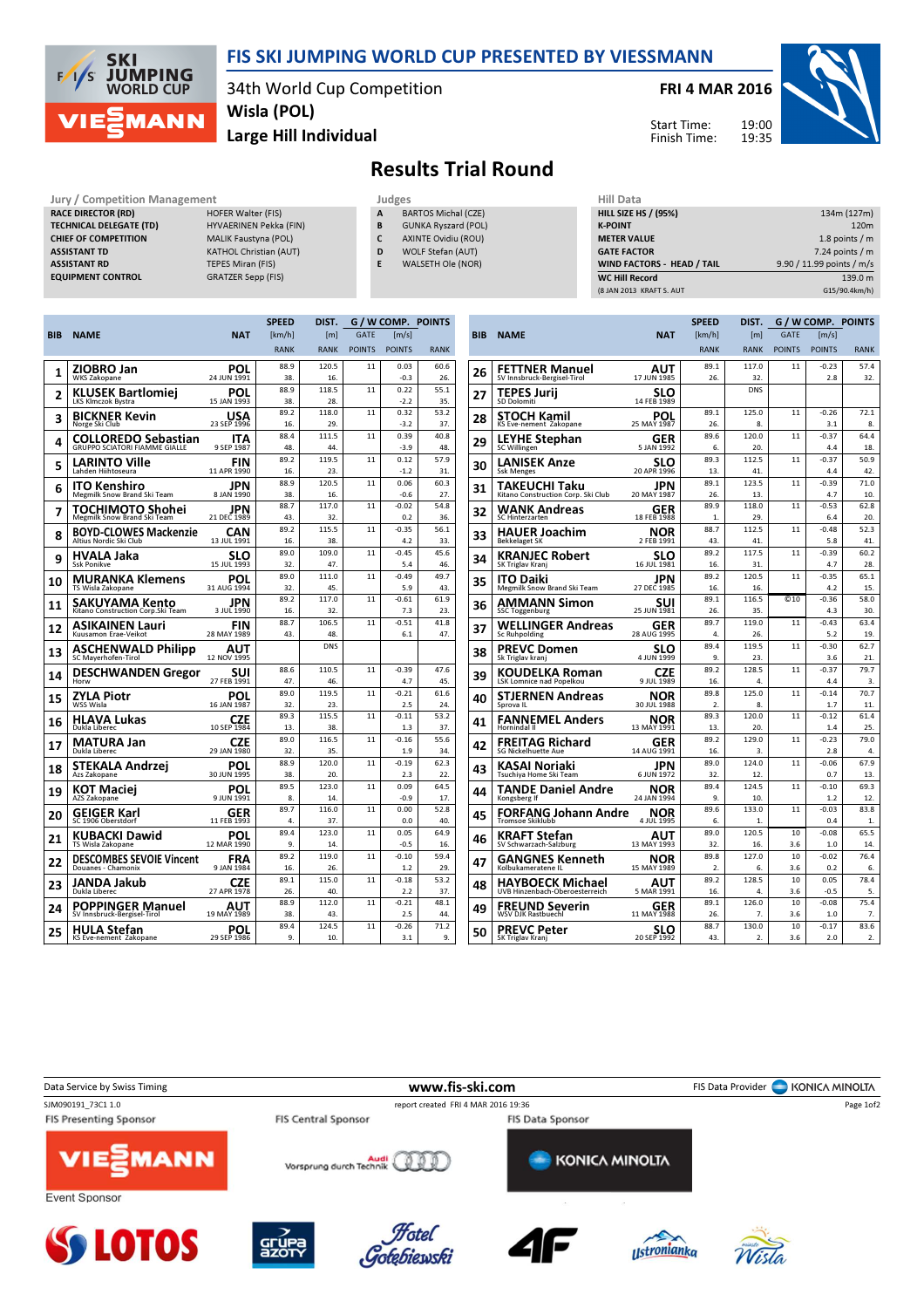

## FIS SKI JUMPING WORLD CUP PRESENTED BY VIESSMANN

34th World Cup Competition Wisla (POL)

Large Hill Individual

FRI 4 MAR 2016



Start Time: Finish Time:

## Results Trial Round

Jury / Competition Management Judges<br>
RACE DIRECTOR (RD) HOFER Walter (FIS) A BA RACE DIRECTOR (RD) TECHNICAL DELEGATE (TD) HYVAERINEN Pekka (FIN) CHIEF OF COMPETITION MALIK Faustyna (POL) ASSISTANT TD KATHOL Christian (AUT) ASSISTANT RD TEPES Miran (FIS)

- EQUIPMENT CONTROL GRATZER Sepp (FIS)
- BARTOS Michal (CZE)
- B GUNKA Ryszard (POL)
- C AXINTE Ovidiu (ROU) D WOLF Stefan (AUT)
- E WALSETH Ole (NOR)

| 134m (127m)               |
|---------------------------|
| 120 <sub>m</sub>          |
| 1.8 points $/m$           |
| $7.24$ points / m         |
| 9.90 / 11.99 points / m/s |
| 139.0 m                   |
| G15/90.4km/h)             |
|                           |

|     |                                                             |                           | <b>SPEED</b> | DIST.            |               |                     | G / W COMP. POINTS |
|-----|-------------------------------------------------------------|---------------------------|--------------|------------------|---------------|---------------------|--------------------|
| BIB | <b>NAME</b>                                                 | <b>NAT</b>                | [km/h]       | [ <sub>m</sub> ] | <b>GATE</b>   | $\lceil m/s \rceil$ |                    |
|     |                                                             |                           | <b>RANK</b>  | <b>RANK</b>      | <b>POINTS</b> | <b>POINTS</b>       | <b>RANK</b>        |
|     | ZIOBRO Jan                                                  | <b>POL</b>                | 88.9         | 120.5            | 11            | 0.03                | 60.6               |
| 1   | WKS Zakopane                                                | 24 JUN 1991               | 38.          | 16.              |               | $-0.3$              | 26.                |
| 2   | KLUSEK Bartlomiej                                           | POL                       | 88.9         | 118.5            | 11            | 0.22                | 55.1               |
|     | LKS Klmczok Bystra                                          | 15 JAN 1993               | 38.          | 28.              |               | $-2.2$              | 35.                |
| 3   | BICKNER Kevin                                               | USA                       | 89.2         | 118.0            | 11            | 0.32                | 53.2               |
|     | Norge Ski Club                                              | 23 SEP 1996               | 16.          | 29.              |               | $-3.2$              | 37.                |
| 4   | <b>COLLOREDO Sebastian</b><br>GRUPPO SCIATORI FIAMME GIALLE | ITA<br>9 SEP 1987         | 88.4<br>48.  | 111.5<br>44.     | 11            | 0.39<br>$-3.9$      | 40.8<br>48.        |
|     | LARINTO Ville                                               | FIN                       | 89.2         | 119.5            | 11            | 0.12                | 57.9               |
| 5   | Lahden Hiihtoseura                                          | 11 APR 1990               | 16.          | 23.              |               | $-1.2$              | 31.                |
| 6   | ITO Kenshiro                                                | JPN                       | 88.9         | 120.5            | 11            | 0.06                | 60.3               |
|     | Megmilk Snow Brand Ski Team                                 | 8 JAN 1990                | 38.          | 16.              |               | $-0.6$              | 27.                |
| 7   | TOCHIMOTO Shohei                                            | JPN                       | 88.7         | 117.0            | 11            | $-0.02$             | 54.8               |
|     | Megmilk Snow Brand Ski Team                                 | 21 DEC 1989               | 43.          | 32.              |               | 0.2                 | 36.                |
| 8   | <b>BOYD-CLOWES Mackenzie</b>                                | CAN                       | 89.2         | 115.5            | 11            | $-0.35$             | 56.1               |
|     | Altius Nordic Ski Club                                      | 13 JUL 1991               | 16.          | 38.              |               | 4.2                 | 33.                |
| 9   | HVALA Jaka<br><b>Ssk Ponikve</b>                            | SLO<br>15 JUL 1993        | 89.0<br>32.  | 109.0<br>47.     | 11            | $-0.45$<br>5.4      | 45.6<br>46.        |
|     |                                                             |                           | 89.0         | 111.0            | 11            | $-0.49$             | 49.7               |
| 10  | <b>MURANKA Klemens</b><br>TS Wisla Zakopane                 | POL<br>31 AUG 1994        | 32.          | 45.              |               | 5.9                 | 43.                |
|     |                                                             | JPN                       | 89.2         | 117.0            | 11            | $-0.61$             | 61.9               |
| 11  | SAKUYAMA Kento<br>Kitano Construction Corp. Ski Team        | 3 JUL 1990                | 16.          | 32.              |               | 7.3                 | 23.                |
|     | ASIKAINEN Lauri                                             | FIN                       | 88.7         | 106.5            | 11            | $-0.51$             | 41.8               |
| 12  | Kuusamon Erae-Veikot                                        | 28 MAY 1989               | 43.          | 48.              |               | 6.1                 | 47.                |
| 13  | <b>ASCHENWALD Philipp</b><br>SC Mayerhofen-Tirol            | AUT<br>12 NOV 1995        |              | <b>DNS</b>       |               |                     |                    |
|     | <b>DESCHWANDEN Gregor</b>                                   | SUI                       | 88.6         | 110.5            | 11            | $-0.39$             | 47.6               |
| 14  | Horw                                                        | 27 FEB 1991               | 47.          | 46.              |               | 4.7                 | 45.                |
| 15  | ZYLA Piotr                                                  | <b>POL</b>                | 89.0         | 119.5            | 11            | $-0.21$             | 61.6               |
|     | WSS Wisla                                                   | 16 JAN 1987               | 32.          | 23.              |               | 2.5                 | 24.                |
| 16  | HLAVA Lukas                                                 | <b>CZE</b><br>10 SEP 1984 | 89.3         | 115.5            | 11            | $-0.11$             | 53.2               |
|     | Dukla Liberec                                               |                           | 13.          | 38.              |               | 1.3                 | 37.                |
| 17  | <b>MATURA Jan</b>                                           | <b>CZE</b>                | 89.0         | 116.5            | 11            | $-0.16$             | 55.6               |
|     | Dukla Liberec                                               | 29 JAN 1980               | 32.<br>88.9  | 35.<br>120.0     | 11            | 1.9<br>$-0.19$      | 34.<br>62.3        |
| 18  | STEKALA Andrzei<br>Azs Zakopane                             | POL<br>30 JUN 1995        | 38.          | 20.              |               | 2.3                 | 22.                |
|     |                                                             |                           | 89.5         | 123.0            | 11            | 0.09                | 64.5               |
| 19  | KOT Maciei<br>AZS Zakopane                                  | POL<br>9 JUN 1991         | 8.           | 14.              |               | $-0.9$              | 17.                |
|     | GEIGER Karl                                                 | GER                       | 89.7         | 116.0            | 11            | 0.00                | 52.8               |
| 20  | SC 1906 Oberstdorf                                          | 11 FEB 1993               | 4.           | 37.              |               | 0.0                 | 40.                |
| 21  | KUBACKI Dawid                                               | POL                       | 89.4         | 123.0            | 11            | 0.05                | 64.9               |
|     | TS Wisla Zakopane                                           | 12 MAR 1990               | 9.           | 14.              |               | $-0.5$              | 16.                |
| 22  | <b>DESCOMBES SEVOIE Vincent</b>                             | FRA                       | 89.2         | 119.0            | 11            | $-0.10$             | 59.4               |
|     | Douanes - Chamonix                                          | 9 JAN 1984                | 16.          | 26.              |               | 1.2                 | 29.                |
| 23  | JANDA Jakub<br>Dukla Liberec                                | <b>CZE</b><br>27 APR 1978 | 89.1<br>26.  | 115.0<br>40.     | 11            | $-0.18$<br>2.2      | 53.2<br>37.        |
|     |                                                             |                           | 88.9         | 112.0            | 11            | $-0.21$             | 48.1               |
| 24  | <b>POPPINGER Manuel</b><br>SV Innsbruck-Bergisel-Tirol      | AUT<br>19 MAY 1989        | 38.          | 43.              |               | 2.5                 | 44.                |
|     | HULA Stefan                                                 | POL                       | 89.4         | 124.5            | 11            | $-0.26$             | 71.2               |
| 25  | KS Eve-nement Zakopane                                      | 29 SEP 1986               | 9.           | 10.              |               | 3.1                 | 9.                 |
|     |                                                             |                           |              |                  |               |                     |                    |

|            |                                                    |                          | <b>SPEED</b> | DIST.            |               | G / W COMP. POINTS  |             |
|------------|----------------------------------------------------|--------------------------|--------------|------------------|---------------|---------------------|-------------|
| <b>BIB</b> | <b>NAME</b>                                        | <b>NAT</b>               | [km/h]       | [ <sub>m</sub> ] | <b>GATE</b>   | $\lceil m/s \rceil$ |             |
|            |                                                    |                          | <b>RANK</b>  | <b>RANK</b>      | <b>POINTS</b> | <b>POINTS</b>       | <b>RANK</b> |
| 26         | FETTNER Manuel                                     | AUT                      | 89.1         | 117.0            | 11            | $-0.23$             | 57.4        |
|            | SV Innsbruck-Bergisel-Tirol                        | 17 JUN 1985              | 26.          | 32.              |               | 2.8                 | 32.         |
| 27         | TEPES Jurij<br><b>SD Dolomiti</b>                  | SLO<br>14 FEB 1989       |              | <b>DNS</b>       |               |                     |             |
| 28         | STOCH Kamil                                        | POL                      | 89.1         | 125.0            | 11            | $-0.26$             | 72.1        |
|            | KS Eve-nement Zakopane                             | 25 MAY 1987              | 26.          | 8.               |               | 3.1                 | 8.          |
| 29         | <b>LEYHE Stephan</b><br>SC Willingen               | GER<br>5 JAN 1992        | 89.6<br>6.   | 120.0<br>20.     | 11            | $-0.37$<br>4.4      | 64.4<br>18. |
|            | LANISEK Anze                                       | SLO                      | 89.3         | 112.5            | 11            | $-0.37$             | 50.9        |
| 30         | <b>Ssk Menges</b>                                  | 20 APR 1996              | 13.          | 41.              |               | 4.4                 | 42.         |
| 31         | TAKEUCHI Taku                                      | JPN                      | 89.1         | 123.5            | 11            | $-0.39$             | 71.0        |
|            | Kitano Construction Corp. Ski Club                 | 20 MAY 1987              | 26.          | 13.              |               | 4.7                 | 10.         |
| 32         | WANK Andreas                                       | GER                      | 89.9         | 118.0            | 11            | $-0.53$             | 62.8        |
|            | <b>SC Hinterzarten</b>                             | 18 FEB 1988              | 1.           | 29.              |               | 6.4                 | 20.         |
| 33         | HAUER Joachim                                      | NOR                      | 88.7         | 112.5            | 11            | $-0.48$             | 52.3        |
|            | <b>Bekkelaget SK</b>                               | 2 FEB 1991               | 43.          | 41.              |               | 5.8                 | 41.         |
| 34         | KRANJEC Robert                                     | SLO                      | 89.2         | 117.5            | 11            | $-0.39$             | 60.2        |
|            | SK Triglav Kranj                                   | 16 JUL 1981              | 16.          | 31.              |               | 4.7                 | 28.         |
| 35         | ITO Daiki                                          | JPN                      | 89.2         | 120.5            | 11            | $-0.35$             | 65.1        |
|            | Megmilk Snow Brand Ski Team                        | 27 DEC 1985              | 16.          | 16.              |               | 4.2                 | 15.         |
| 36         | AMMANN Simon                                       | SUI                      | 89.1         | 116.5            | @10           | $-0.36$             | 58.0        |
|            | <b>SSC Toggenburg</b>                              | 25 JUN 1981              | 26.          | 35.              |               | 4.3                 | 30.         |
| 37         | WELLINGER Andreas                                  | GER<br>28 AUG 1995       | 89.7<br>4.   | 119.0<br>26.     | 11            | $-0.43$<br>5.2      | 63.4<br>19. |
|            | <b>Sc Ruhpolding</b>                               |                          | 89.4         | 119.5            | 11            | $-0.30$             | 62.7        |
| 38         | <b>PREVC Domen</b><br>Sk Triglav kranj             | SLO<br>4 JUN 1999        | 9.           | 23.              |               | 3.6                 | 21.         |
|            |                                                    |                          | 89.2         | 128.5            | 11            | $-0.37$             | 79.7        |
| 39         | KOUDELKA Roman<br>LSK Lomnice nad Popelkou         | <b>CZE</b><br>9 JUL 1989 | 16.          | 4.               |               | 4.4                 | 3.          |
|            | STJERNEN Andreas                                   | NOR                      | 89.8         | 125.0            | 11            | $-0.14$             | 70.7        |
| 40         | Sprova II                                          | 30 JUL 1988              | 2.           | 8.               |               | 1.7                 | 11.         |
|            | FANNEMEL Anders                                    | NOR                      | 89.3         | 120.0            | 11            | $-0.12$             | 61.4        |
| 41         | Hornindal II                                       | 13 MAY 1991              | 13.          | 20.              |               | 1.4                 | 25.         |
| 42         | FREITAG Richard                                    | GER                      | 89.2         | 129.0            | 11            | $-0.23$             | 79.0        |
|            | <b>SG Nickelhuette Aue</b>                         | 14 AUG 1991              | 16.          | 3.               |               | 2.8                 | 4.          |
| 43         | KASAI Noriaki                                      | JPN                      | 89.0         | 124.0            | 11            | $-0.06$             | 67.9        |
|            | Tsuchiya Home Ski Team                             | 6 JUN 1972               | 32.          | 12.              |               | 0.7                 | 13.         |
| 44         | TANDE Daniel Andre                                 | NOR                      | 89.4         | 124.5            | 11            | $-0.10$             | 69.3        |
|            | Kongsberg If                                       | 24 JAN 1994              | 9.           | 10.              |               | 1.2                 | 12.         |
| 45         | FORFANG Johann Andre                               | NOR                      | 89.6         | 133.0            | 11            | $-0.03$             | 83.8        |
|            | <b>Tromsoe Skiklubb</b>                            | 4 JUL 1995               | 6.<br>89.0   | 1.<br>120.5      | 10            | 0.4<br>$-0.08$      | 1.<br>65.5  |
| 46         | KRAFT Stefan<br>SV Schwarzach-Salzburg             | AUT<br>13 MAY 1993       | 32.          | 16.              | 3.6           | 1.0                 | 14.         |
|            |                                                    |                          | 89.8         | 127.0            | 10            | $-0.02$             | 76.4        |
| 47         | GANGNES Kenneth<br>Kolbukameratene IL              | NOR<br>15 MAY 1989       | 2.           | 6.               | 3.6           | 0.2                 | 6.          |
|            |                                                    |                          | 89.2         | 128.5            | 10            | 0.05                | 78.4        |
| 48         | HAYBOECK Michael<br>UVB Hinzenbach-Oberoesterreich | AUT<br>5 MAR 1991        | 16.          | 4.               | 3.6           | $-0.5$              | 5.          |
|            | FREUND Severin                                     | GER                      | 89.1         | 126.0            | 10            | $-0.08$             | 75.4        |
| 49         | WSV DJK Rastbuechl                                 | 11 MAY 1988              | 26.          | 7.               | 3.6           | 1.0                 | 7.          |
|            | PREVC Peter                                        | SLO                      | 88.7         | 130.0            | 10            | $-0.17$             | 83.6        |
| 50         | SK Triglav Kranj                                   | 20 SEP 1992              | 43.          | 2.               | 3.6           | 2.0                 | 2.          |